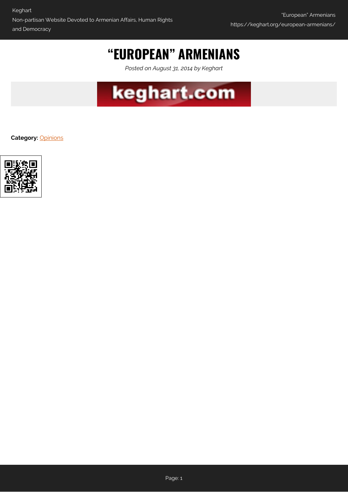## **"EUROPEAN" ARMENIANS**

*Posted on August 31, 2014 by Keghart*



**Category:** [Opinions](https://keghart.org/category/opinions/)

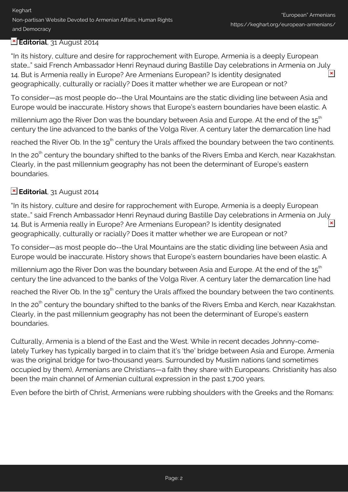## **Editorial**, 31 August 2014

"In its history, culture and desire for rapprochement with Europe, Armenia is a deeply European state…" said French Ambassador Henri Reynaud during Bastille Day celebrations in Armenia on July 14. But is Armenia really in Europe? Are Armenians European? Is identity designated geographically, culturally or racially? Does it matter whether we are European or not?

To consider—as most people do--the Ural Mountains are the static dividing line between Asia and Europe would be inaccurate. History shows that Europe's eastern boundaries have been elastic. A

millennium ago the River Don was the boundary between Asia and Europe. At the end of the 15<sup>th</sup> century the line advanced to the banks of the Volga River. A century later the demarcation line had

reached the River Ob. In the 19<sup>th</sup> century the Urals affixed the boundary between the two continents.

In the 20<sup>th</sup> century the boundary shifted to the banks of the Rivers Emba and Kerch, near Kazakhstan. Clearly, in the past millennium geography has not been the determinant of Europe's eastern boundaries.

## **Editorial**, 31 August 2014

"In its history, culture and desire for rapprochement with Europe, Armenia is a deeply European state…" said French Ambassador Henri Reynaud during Bastille Day celebrations in Armenia on July  $\pmb{\times}$ 14. But is Armenia really in Europe? Are Armenians European? Is identity designated geographically, culturally or racially? Does it matter whether we are European or not?

To consider—as most people do--the Ural Mountains are the static dividing line between Asia and Europe would be inaccurate. History shows that Europe's eastern boundaries have been elastic. A

millennium ago the River Don was the boundary between Asia and Europe. At the end of the  $15<sup>th</sup>$ century the line advanced to the banks of the Volga River. A century later the demarcation line had

reached the River Ob. In the 19<sup>th</sup> century the Urals affixed the boundary between the two continents.

In the 20<sup>th</sup> century the boundary shifted to the banks of the Rivers Emba and Kerch, near Kazakhstan. Clearly, in the past millennium geography has not been the determinant of Europe's eastern boundaries.

Culturally, Armenia is a blend of the East and the West. While in recent decades Johnny-comelately Turkey has typically barged in to claim that it's 'the' bridge between Asia and Europe, Armenia was the original bridge for two-thousand years. Surrounded by Muslim nations (and sometimes occupied by them), Armenians are Christians—a faith they share with Europeans. Christianity has also been the main channel of Armenian cultural expression in the past 1,700 years.

Even before the birth of Christ, Armenians were rubbing shoulders with the Greeks and the Romans: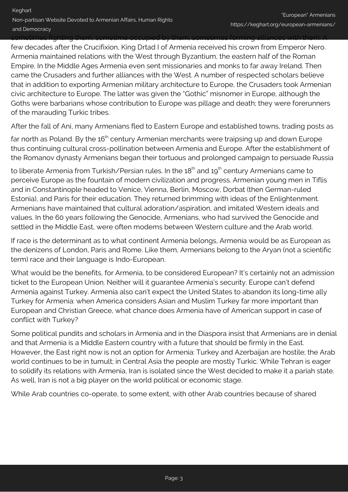sometimes fighting them; sometime occupied by them; sometimes forming alliances with them. A

few decades after the Crucifixion, King Drtad I of Armenia received his crown from Emperor Nero. Armenia maintained relations with the West through Byzantium, the eastern half of the Roman Empire. In the Middle Ages Armenia even sent missionaries and monks to far away Ireland. Then came the Crusaders and further alliances with the West. A number of respected scholars believe that in addition to exporting Armenian military architecture to Europe, the Crusaders took Armenian civic architecture to Europe. The latter was given the "Gothic" misnomer in Europe, although the Goths were barbarians whose contribution to Europe was pillage and death; they were forerunners of the marauding Turkic tribes.

After the fall of Ani, many Armenians fled to Eastern Europe and established towns, trading posts as

far north as Poland. By the 16<sup>th</sup> century Armenian merchants were traipsing up and down Europe thus continuing cultural cross-pollination between Armenia and Europe. After the establishment of the Romanov dynasty Armenians began their tortuous and prolonged campaign to persuade Russia

to liberate Armenia from Turkish/Persian rules. In the 18<sup>th</sup> and 19<sup>th</sup> century Armenians came to perceive Europe as the fountain of modern civilization and progress. Armenian young men in Tiflis and in Constantinople headed to Venice, Vienna, Berlin, Moscow, Dorbat (then German-ruled Estonia), and Paris for their education. They returned brimming with ideas of the Enlightenment. Armenians have maintained that cultural adoration/aspiration, and imitated Western ideals and values. In the 60 years following the Genocide, Armenians, who had survived the Genocide and settled in the Middle East, were often modems between Western culture and the Arab world.

If race is the determinant as to what continent Armenia belongs, Armenia would be as European as the denizens of London, Paris and Rome. Like them, Armenians belong to the Aryan (not a scientific term) race and their language is Indo-European.

What would be the benefits, for Armenia, to be considered European? It's certainly not an admission ticket to the European Union. Neither will it guarantee Armenia's security. Europe can't defend Armenia against Turkey. Armenia also can't expect the United States to abandon its long-time ally Turkey for Armenia: when America considers Asian and Muslim Turkey far more important than European and Christian Greece, what chance does Armenia have of American support in case of conflict with Turkey?

Some political pundits and scholars in Armenia and in the Diaspora insist that Armenians are in denial and that Armenia is a Middle Eastern country with a future that should be firmly in the East. However, the East right now is not an option for Armenia: Turkey and Azerbaijan are hostile; the Arab world continues to be in tumult; in Central Asia the people are mostly Turkic. While Tehran is eager to solidify its relations with Armenia, Iran is isolated since the West decided to make it a pariah state. As well, Iran is not a big player on the world political or economic stage.

While Arab countries co-operate, to some extent, with other Arab countries because of shared